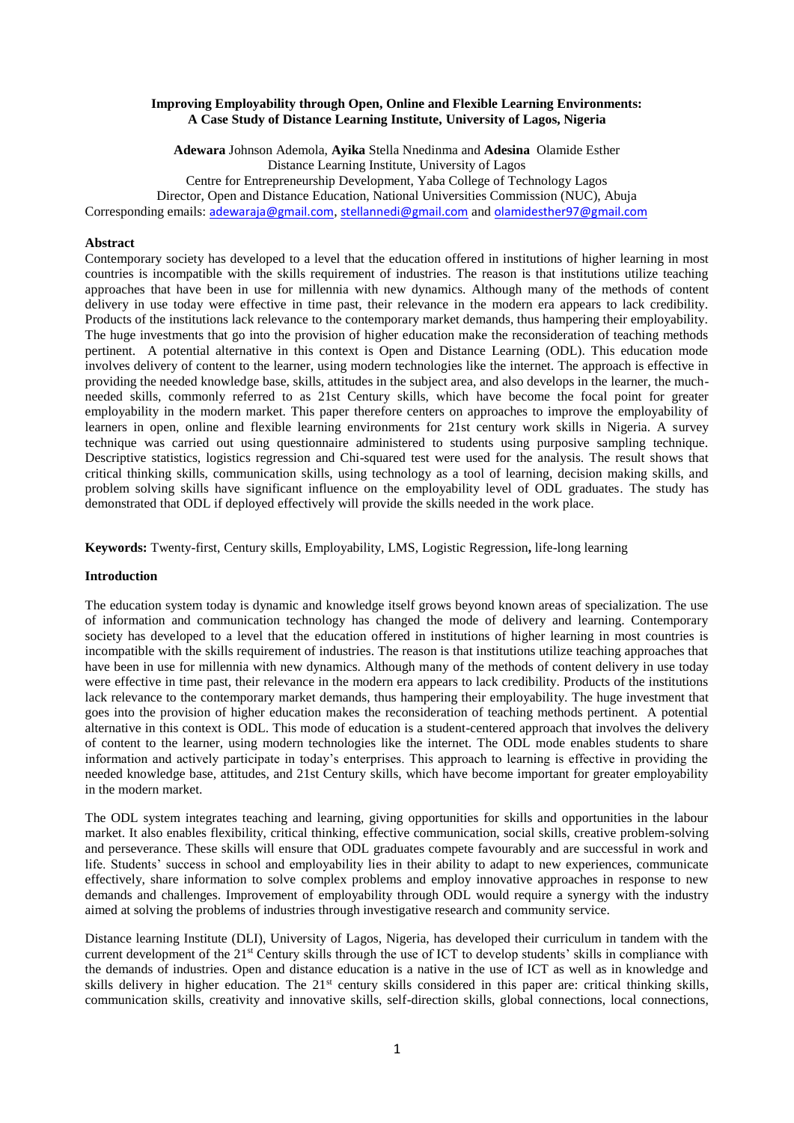### **Improving Employability through Open, Online and Flexible Learning Environments: A Case Study of Distance Learning Institute, University of Lagos, Nigeria**

**Adewara** Johnson Ademola, **Ayika** Stella Nnedinma and **Adesina** Olamide Esther Distance Learning Institute, University of Lagos Centre for Entrepreneurship Development, Yaba College of Technology Lagos Director, Open and Distance Education, National Universities Commission (NUC), Abuja Corresponding emails: [adewaraja@gmail.com](mailto:adewaraja@gmail.com), [stellannedi@gmail.com](mailto:stellannedi@gmail.com) and [olamidesther97@gmail.com](mailto:olamidesther97@gmail.com)

### **Abstract**

Contemporary society has developed to a level that the education offered in institutions of higher learning in most countries is incompatible with the skills requirement of industries. The reason is that institutions utilize teaching approaches that have been in use for millennia with new dynamics. Although many of the methods of content delivery in use today were effective in time past, their relevance in the modern era appears to lack credibility. Products of the institutions lack relevance to the contemporary market demands, thus hampering their employability. The huge investments that go into the provision of higher education make the reconsideration of teaching methods pertinent. A potential alternative in this context is Open and Distance Learning (ODL). This education mode involves delivery of content to the learner, using modern technologies like the internet. The approach is effective in providing the needed knowledge base, skills, attitudes in the subject area, and also develops in the learner, the muchneeded skills, commonly referred to as 21st Century skills, which have become the focal point for greater employability in the modern market. This paper therefore centers on approaches to improve the employability of learners in open, online and flexible learning environments for 21st century work skills in Nigeria. A survey technique was carried out using questionnaire administered to students using purposive sampling technique. Descriptive statistics, logistics regression and Chi-squared test were used for the analysis. The result shows that critical thinking skills, communication skills, using technology as a tool of learning, decision making skills, and problem solving skills have significant influence on the employability level of ODL graduates. The study has demonstrated that ODL if deployed effectively will provide the skills needed in the work place.

**Keywords:** Twenty-first, Century skills, Employability, LMS, Logistic Regression**,** life-long learning

### **Introduction**

The education system today is dynamic and knowledge itself grows beyond known areas of specialization. The use of information and communication technology has changed the mode of delivery and learning. Contemporary society has developed to a level that the education offered in institutions of higher learning in most countries is incompatible with the skills requirement of industries. The reason is that institutions utilize teaching approaches that have been in use for millennia with new dynamics. Although many of the methods of content delivery in use today were effective in time past, their relevance in the modern era appears to lack credibility. Products of the institutions lack relevance to the contemporary market demands, thus hampering their employability. The huge investment that goes into the provision of higher education makes the reconsideration of teaching methods pertinent. A potential alternative in this context is ODL. This mode of education is a student-centered approach that involves the delivery of content to the learner, using modern technologies like the internet. The ODL mode enables students to share information and actively participate in today's enterprises. This approach to learning is effective in providing the needed knowledge base, attitudes, and 21st Century skills, which have become important for greater employability in the modern market.

The ODL system integrates teaching and learning, giving opportunities for skills and opportunities in the labour market. It also enables flexibility, critical thinking, effective communication, social skills, creative problem-solving and perseverance. These skills will ensure that ODL graduates compete favourably and are successful in work and life. Students' success in school and employability lies in their ability to adapt to new experiences, communicate effectively, share information to solve complex problems and employ innovative approaches in response to new demands and challenges. Improvement of employability through ODL would require a synergy with the industry aimed at solving the problems of industries through investigative research and community service.

Distance learning Institute (DLI), University of Lagos, Nigeria, has developed their curriculum in tandem with the current development of the 21st Century skills through the use of ICT to develop students' skills in compliance with the demands of industries. Open and distance education is a native in the use of ICT as well as in knowledge and skills delivery in higher education. The 21<sup>st</sup> century skills considered in this paper are: critical thinking skills, communication skills, creativity and innovative skills, self-direction skills, global connections, local connections,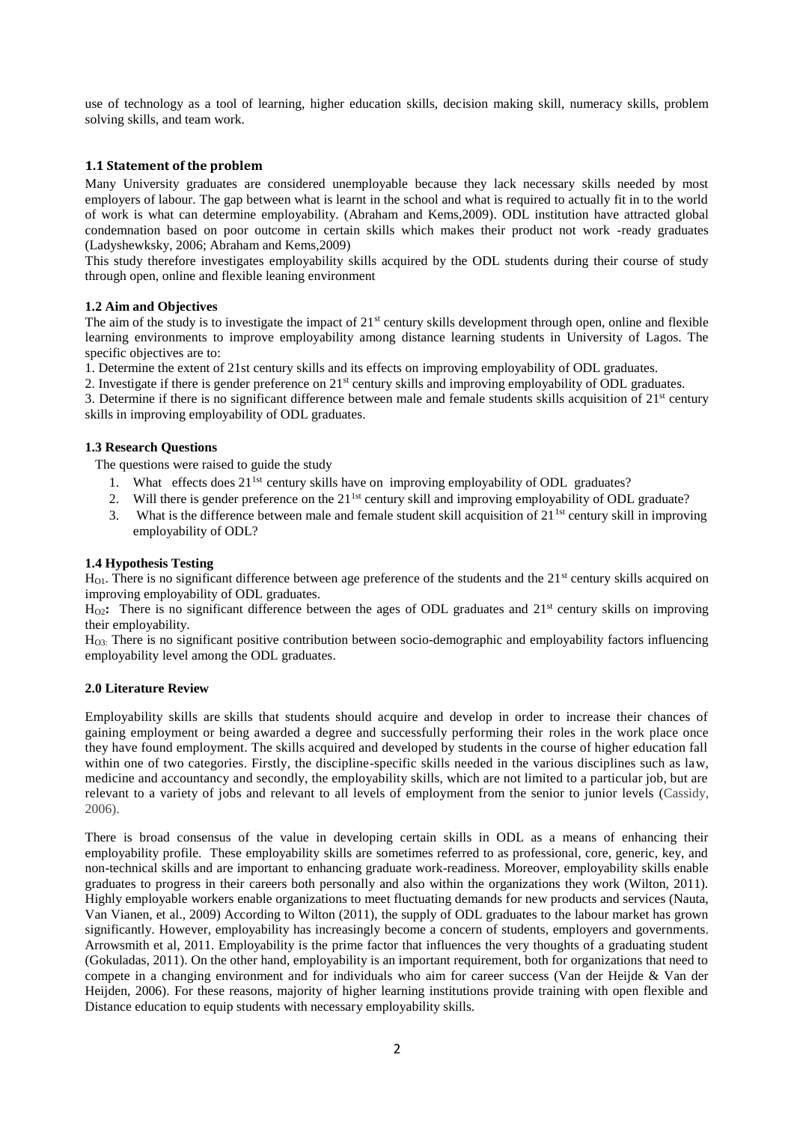use of technology as a tool of learning, higher education skills, decision making skill, numeracy skills, problem solving skills, and team work.

## **1.1 Statement of the problem**

Many University graduates are considered unemployable because they lack necessary skills needed by most employers of labour. The gap between what is learnt in the school and what is required to actually fit in to the world of work is what can determine employability. (Abraham and Kems,2009). ODL institution have attracted global condemnation based on poor outcome in certain skills which makes their product not work -ready graduates (Ladyshewksky, 2006; Abraham and Kems,2009)

This study therefore investigates employability skills acquired by the ODL students during their course of study through open, online and flexible leaning environment

## **1.2 Aim and Objectives**

The aim of the study is to investigate the impact of  $21<sup>st</sup>$  century skills development through open, online and flexible learning environments to improve employability among distance learning students in University of Lagos. The specific objectives are to:

1. Determine the extent of 21st century skills and its effects on improving employability of ODL graduates.

2. Investigate if there is gender preference on 21<sup>st</sup> century skills and improving employability of ODL graduates.

3. Determine if there is no significant difference between male and female students skills acquisition of  $21<sup>st</sup>$  century skills in improving employability of ODL graduates.

## **1.3 Research Questions**

The questions were raised to guide the study

- 1. What effects does  $21<sup>1st</sup>$  century skills have on improving employability of ODL graduates?
- 2. Will there is gender preference on the  $21<sup>1st</sup>$  century skill and improving employability of ODL graduate?
- 3. What is the difference between male and female student skill acquisition of 211st century skill in improving employability of ODL?

## **1.4 Hypothesis Testing**

 $H_{\text{OL}}$ . There is no significant difference between age preference of the students and the 21<sup>st</sup> century skills acquired on improving employability of ODL graduates.

H<sub>O2</sub>: There is no significant difference between the ages of ODL graduates and 21<sup>st</sup> century skills on improving their employability.

HO3: There is no significant positive contribution between socio-demographic and employability factors influencing employability level among the ODL graduates.

## **2.0 Literature Review**

Employability skills are skills that students should acquire and develop in order to increase their chances of gaining employment or being awarded a degree and successfully performing their roles in the work place once they have found employment. The skills acquired and developed by students in the course of higher education fall within one of two categories. Firstly, the discipline-specific skills needed in the various disciplines such as law, medicine and accountancy and secondly, the employability skills, which are not limited to a particular job, but are relevant to a variety of jobs and relevant to all levels of employment from the senior to junior levels (Cassidy, 2006).

There is broad consensus of the value in developing certain skills in ODL as a means of enhancing their employability profile. These employability skills are sometimes referred to as professional, core, generic, key, and non-technical skills and are important to enhancing graduate work-readiness. Moreover, employability skills enable graduates to progress in their careers both personally and also within the organizations they work (Wilton, 2011). Highly employable workers enable organizations to meet fluctuating demands for new products and services (Nauta, Van Vianen, et al., 2009) According to Wilton (2011), the supply of ODL graduates to the labour market has grown significantly. However, employability has increasingly become a concern of students, employers and governments. Arrowsmith et al, 2011. Employability is the prime factor that influences the very thoughts of a graduating student (Gokuladas, 2011). On the other hand, employability is an important requirement, both for organizations that need to compete in a changing environment and for individuals who aim for career success (Van der Heijde & Van der Heijden, 2006). For these reasons, majority of higher learning institutions provide training with open flexible and Distance education to equip students with necessary employability skills.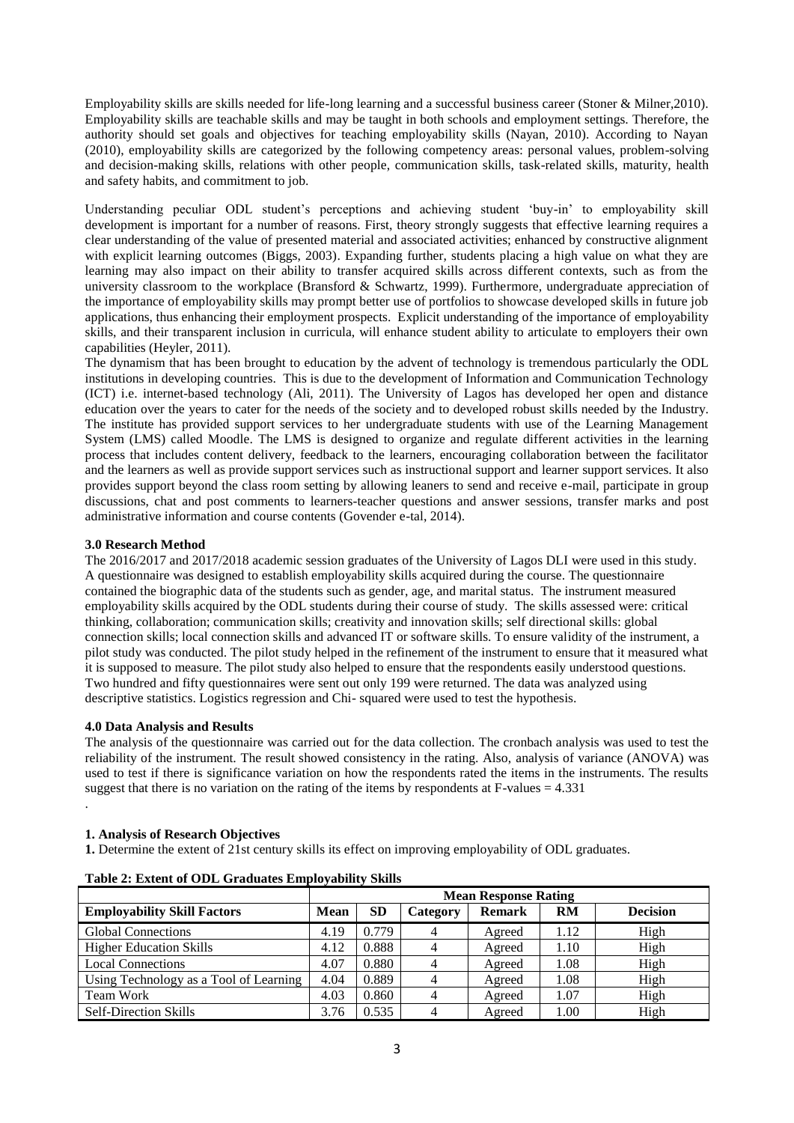Employability skills are skills needed for life-long learning and a successful business career (Stoner & Milner, 2010). Employability skills are teachable skills and may be taught in both schools and employment settings. Therefore, the authority should set goals and objectives for teaching employability skills (Nayan, 2010). According to Nayan (2010), employability skills are categorized by the following competency areas: personal values, problem-solving and decision-making skills, relations with other people, communication skills, task-related skills, maturity, health and safety habits, and commitment to job.

Understanding peculiar ODL student's perceptions and achieving student 'buy-in' to employability skill development is important for a number of reasons. First, theory strongly suggests that effective learning requires a clear understanding of the value of presented material and associated activities; enhanced by constructive alignment with explicit learning outcomes (Biggs, 2003). Expanding further, students placing a high value on what they are learning may also impact on their ability to transfer acquired skills across different contexts, such as from the university classroom to the workplace (Bransford & Schwartz, 1999). Furthermore, undergraduate appreciation of the importance of employability skills may prompt better use of portfolios to showcase developed skills in future job applications, thus enhancing their employment prospects. Explicit understanding of the importance of employability skills, and their transparent inclusion in curricula, will enhance student ability to articulate to employers their own capabilities (Heyler, 2011).

The dynamism that has been brought to education by the advent of technology is tremendous particularly the ODL institutions in developing countries. This is due to the development of Information and Communication Technology (ICT) i.e. internet-based technology (Ali, 2011). The University of Lagos has developed her open and distance education over the years to cater for the needs of the society and to developed robust skills needed by the Industry. The institute has provided support services to her undergraduate students with use of the Learning Management System (LMS) called Moodle. The LMS is designed to organize and regulate different activities in the learning process that includes content delivery, feedback to the learners, encouraging collaboration between the facilitator and the learners as well as provide support services such as instructional support and learner support services. It also provides support beyond the class room setting by allowing leaners to send and receive e-mail, participate in group discussions, chat and post comments to learners-teacher questions and answer sessions, transfer marks and post administrative information and course contents (Govender e-tal, 2014).

## **3.0 Research Method**

The 2016/2017 and 2017/2018 academic session graduates of the University of Lagos DLI were used in this study. A questionnaire was designed to establish employability skills acquired during the course. The questionnaire contained the biographic data of the students such as gender, age, and marital status. The instrument measured employability skills acquired by the ODL students during their course of study. The skills assessed were: critical thinking, collaboration; communication skills; creativity and innovation skills; self directional skills: global connection skills; local connection skills and advanced IT or software skills. To ensure validity of the instrument, a pilot study was conducted. The pilot study helped in the refinement of the instrument to ensure that it measured what it is supposed to measure. The pilot study also helped to ensure that the respondents easily understood questions. Two hundred and fifty questionnaires were sent out only 199 were returned. The data was analyzed using descriptive statistics. Logistics regression and Chi- squared were used to test the hypothesis.

# **4.0 Data Analysis and Results**

The analysis of the questionnaire was carried out for the data collection. The cronbach analysis was used to test the reliability of the instrument. The result showed consistency in the rating. Also, analysis of variance (ANOVA) was used to test if there is significance variation on how the respondents rated the items in the instruments. The results suggest that there is no variation on the rating of the items by respondents at  $F$ -values = 4.331 .

## **1. Analysis of Research Objectives**

**1.** Determine the extent of 21st century skills its effect on improving employability of ODL graduates.

|                                        | <b>Mean Response Rating</b> |           |          |               |      |                 |  |  |  |  |
|----------------------------------------|-----------------------------|-----------|----------|---------------|------|-----------------|--|--|--|--|
| <b>Employability Skill Factors</b>     | <b>Mean</b>                 | <b>SD</b> | Category | <b>Remark</b> | RM   | <b>Decision</b> |  |  |  |  |
| <b>Global Connections</b>              | 4.19                        | 0.779     | 4        | Agreed        | 1.12 | High            |  |  |  |  |
| <b>Higher Education Skills</b>         | 4.12                        | 0.888     |          | Agreed        | 1.10 | High            |  |  |  |  |
| <b>Local Connections</b>               | 4.07                        | 0.880     |          | Agreed        | 1.08 | High            |  |  |  |  |
| Using Technology as a Tool of Learning | 4.04                        | 0.889     | 4        | Agreed        | 1.08 | High            |  |  |  |  |
| Team Work                              | 4.03                        | 0.860     |          | Agreed        | 1.07 | High            |  |  |  |  |
| <b>Self-Direction Skills</b>           | 3.76                        | 0.535     | 4        | Agreed        | 1.00 | High            |  |  |  |  |

**Table 2: Extent of ODL Graduates Employability Skills**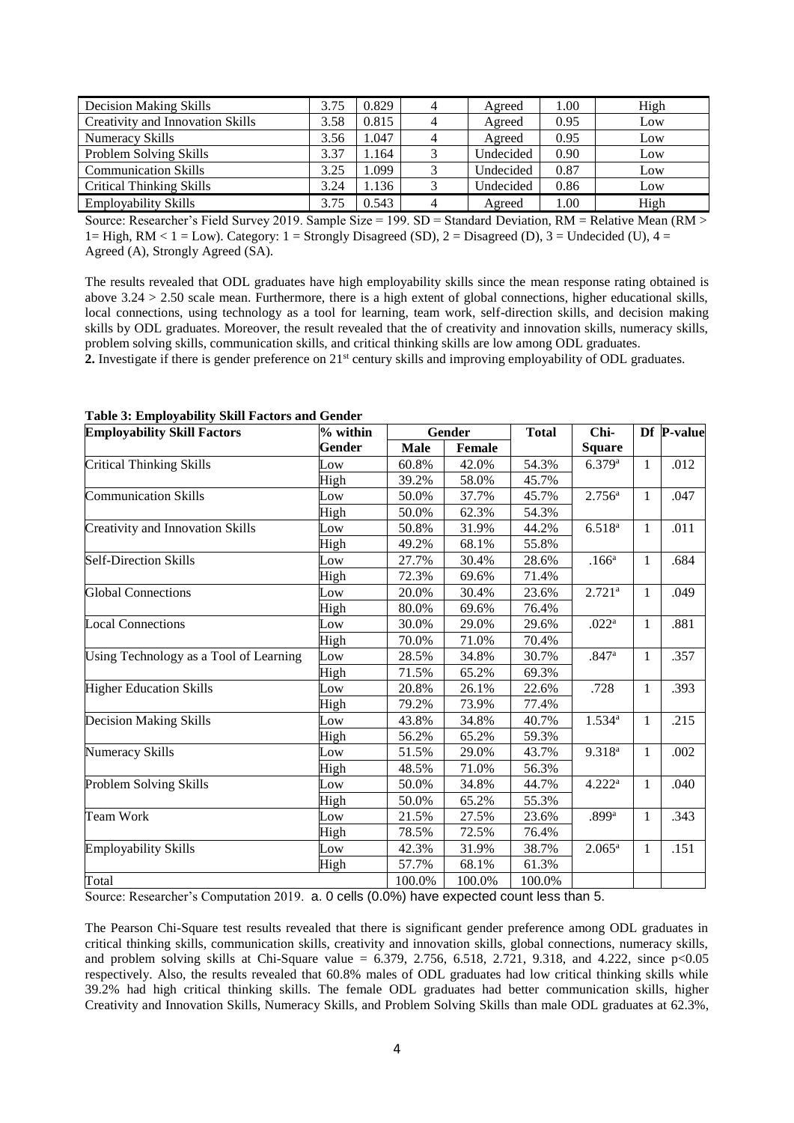| <b>Decision Making Skills</b>    | 3.75 | 0.829 | 4 | Agreed    | 1.00 | High |
|----------------------------------|------|-------|---|-----------|------|------|
| Creativity and Innovation Skills | 3.58 | 0.815 | 4 | Agreed    | 0.95 | Low  |
| Numeracy Skills                  | 3.56 | .047  | 4 | Agreed    | 0.95 | Low  |
| Problem Solving Skills           | 3.37 | 1.164 | 3 | Undecided | 0.90 | Low  |
| <b>Communication Skills</b>      | 3.25 | .099  | 3 | Undecided | 0.87 | Low  |
| <b>Critical Thinking Skills</b>  | 3.24 | .136  | 3 | Undecided | 0.86 | Low  |
| <b>Employability Skills</b>      | 3.75 | 0.543 | 4 | Agreed    | 1.00 | High |

Source: Researcher's Field Survey 2019. Sample Size = 199. SD = Standard Deviation,  $RM =$  Relative Mean ( $RM >$ 1= High, RM < 1 = Low). Category: 1 = Strongly Disagreed (SD), 2 = Disagreed (D), 3 = Undecided (U), 4 = Agreed (A), Strongly Agreed (SA).

The results revealed that ODL graduates have high employability skills since the mean response rating obtained is above 3.24 > 2.50 scale mean. Furthermore, there is a high extent of global connections, higher educational skills, local connections, using technology as a tool for learning, team work, self-direction skills, and decision making skills by ODL graduates. Moreover, the result revealed that the of creativity and innovation skills, numeracy skills, problem solving skills, communication skills, and critical thinking skills are low among ODL graduates.

**2.** Investigate if there is gender preference on 21<sup>st</sup> century skills and improving employability of ODL graduates.

| <b>Employability Skill Factors</b>     | % within |             | Gender        | <b>Total</b> | Chi-               |              | Df P-value |
|----------------------------------------|----------|-------------|---------------|--------------|--------------------|--------------|------------|
|                                        | Gender   | <b>Male</b> | <b>Female</b> |              | <b>Square</b>      |              |            |
| <b>Critical Thinking Skills</b>        | Low      | 60.8%       | 42.0%         | 54.3%        | 6.379a             | 1            | .012       |
|                                        | High     | 39.2%       | 58.0%         | 45.7%        |                    |              |            |
| <b>Communication Skills</b>            | Low      | 50.0%       | 37.7%         | 45.7%        | 2.756 <sup>a</sup> | $\mathbf{1}$ | .047       |
|                                        | High     | 50.0%       | 62.3%         | 54.3%        |                    |              |            |
| Creativity and Innovation Skills       | Low      | 50.8%       | 31.9%         | 44.2%        | $6.518^{a}$        | $\mathbf{1}$ | .011       |
|                                        | High     | 49.2%       | 68.1%         | 55.8%        |                    |              |            |
| <b>Self-Direction Skills</b>           | Low      | 27.7%       | 30.4%         | 28.6%        | .166 <sup>a</sup>  | $\mathbf{1}$ | .684       |
|                                        | High     | 72.3%       | 69.6%         | 71.4%        |                    |              |            |
| <b>Global Connections</b>              | Low      | 20.0%       | 30.4%         | 23.6%        | 2.721 <sup>a</sup> | $\mathbf{1}$ | .049       |
|                                        | High     | 80.0%       | 69.6%         | 76.4%        |                    |              |            |
| <b>Local Connections</b>               | Low      | 30.0%       | 29.0%         | 29.6%        | .022 <sup>a</sup>  | $\mathbf{1}$ | .881       |
|                                        | High     | 70.0%       | 71.0%         | 70.4%        |                    |              |            |
| Using Technology as a Tool of Learning | Low      | 28.5%       | 34.8%         | 30.7%        | .847 <sup>a</sup>  | $\mathbf{1}$ | .357       |
|                                        | High     | 71.5%       | 65.2%         | 69.3%        |                    |              |            |
| <b>Higher Education Skills</b>         | Low      | 20.8%       | 26.1%         | 22.6%        | .728               | $\mathbf{1}$ | .393       |
|                                        | High     | 79.2%       | 73.9%         | 77.4%        |                    |              |            |
| Decision Making Skills                 | Low      | 43.8%       | 34.8%         | 40.7%        | $1.534^{a}$        | $\mathbf{1}$ | .215       |
|                                        | High     | 56.2%       | 65.2%         | 59.3%        |                    |              |            |
| Numeracy Skills                        | Low      | 51.5%       | 29.0%         | 43.7%        | $9.318^{a}$        | $\mathbf{1}$ | .002       |
|                                        | High     | 48.5%       | 71.0%         | 56.3%        |                    |              |            |
| Problem Solving Skills                 | Low      | 50.0%       | 34.8%         | 44.7%        | $4.222^a$          | $\mathbf{1}$ | .040       |
|                                        | High     | 50.0%       | 65.2%         | 55.3%        |                    |              |            |
| Team Work                              | Low      | 21.5%       | 27.5%         | 23.6%        | .899a              | $\mathbf{1}$ | .343       |
|                                        | High     | 78.5%       | 72.5%         | 76.4%        |                    |              |            |
| <b>Employability Skills</b>            | Low      | 42.3%       | 31.9%         | 38.7%        | $2.065^{\rm a}$    | $\mathbf{1}$ | .151       |
|                                        | High     | 57.7%       | 68.1%         | 61.3%        |                    |              |            |
| Total                                  |          | 100.0%      | 100.0%        | 100.0%       |                    |              |            |

**Table 3: Employability Skill Factors and Gender** 

Source: Researcher's Computation 2019. a. 0 cells (0.0%) have expected count less than 5.

The Pearson Chi-Square test results revealed that there is significant gender preference among ODL graduates in critical thinking skills, communication skills, creativity and innovation skills, global connections, numeracy skills, and problem solving skills at Chi-Square value = 6.379, 2.756, 6.518, 2.721, 9.318, and 4.222, since  $p<0.05$ respectively. Also, the results revealed that 60.8% males of ODL graduates had low critical thinking skills while 39.2% had high critical thinking skills. The female ODL graduates had better communication skills, higher Creativity and Innovation Skills, Numeracy Skills, and Problem Solving Skills than male ODL graduates at 62.3%,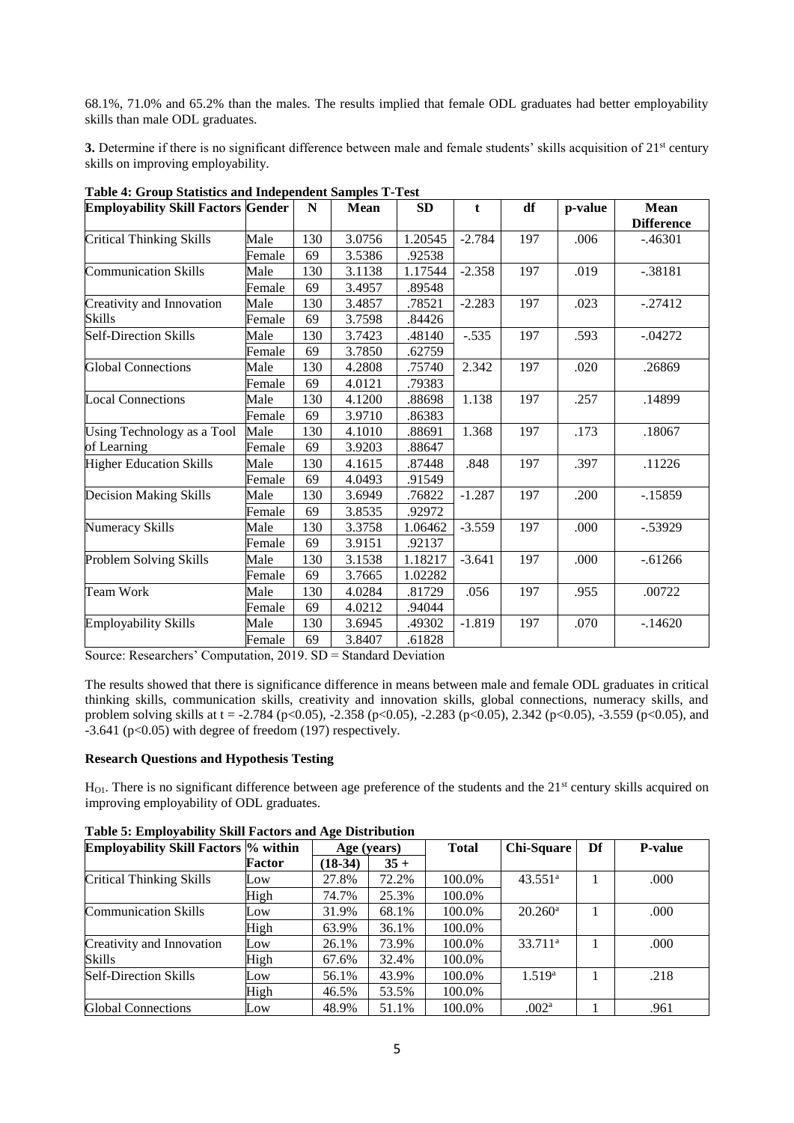68.1%, 71.0% and 65.2% than the males. The results implied that female ODL graduates had better employability skills than male ODL graduates.

**3.** Determine if there is no significant difference between male and female students' skills acquisition of 21<sup>st</sup> century skills on improving employability.

| <b>Employability Skill Factors Gender</b> |        | N   | <b>Mean</b> | SD      | t        | df  | p-value | <b>Mean</b><br><b>Difference</b> |
|-------------------------------------------|--------|-----|-------------|---------|----------|-----|---------|----------------------------------|
| <b>Critical Thinking Skills</b>           | Male   | 130 | 3.0756      | 1.20545 | $-2.784$ | 197 | .006    | $-.46301$                        |
|                                           | Female | 69  | 3.5386      | .92538  |          |     |         |                                  |
| <b>Communication Skills</b>               | Male   | 130 | 3.1138      | 1.17544 | $-2.358$ | 197 | .019    | $-.38181$                        |
|                                           | Female | 69  | 3.4957      | .89548  |          |     |         |                                  |
| Creativity and Innovation                 | Male   | 130 | 3.4857      | .78521  | $-2.283$ | 197 | .023    | $-.27412$                        |
| Skills                                    | Female | 69  | 3.7598      | .84426  |          |     |         |                                  |
| <b>Self-Direction Skills</b>              | Male   | 130 | 3.7423      | .48140  | $-.535$  | 197 | .593    | $-.04272$                        |
|                                           | Female | 69  | 3.7850      | .62759  |          |     |         |                                  |
| <b>Global Connections</b>                 | Male   | 130 | 4.2808      | .75740  | 2.342    | 197 | .020    | .26869                           |
|                                           | Female | 69  | 4.0121      | .79383  |          |     |         |                                  |
| <b>Local Connections</b>                  | Male   | 130 | 4.1200      | .88698  | 1.138    | 197 | .257    | .14899                           |
|                                           | Female | 69  | 3.9710      | .86383  |          |     |         |                                  |
| Using Technology as a Tool                | Male   | 130 | 4.1010      | .88691  | 1.368    | 197 | .173    | .18067                           |
| of Learning                               | Female | 69  | 3.9203      | .88647  |          |     |         |                                  |
| <b>Higher Education Skills</b>            | Male   | 130 | 4.1615      | .87448  | .848     | 197 | .397    | .11226                           |
|                                           | Female | 69  | 4.0493      | .91549  |          |     |         |                                  |
| <b>Decision Making Skills</b>             | Male   | 130 | 3.6949      | .76822  | $-1.287$ | 197 | .200    | $-15859$                         |
|                                           | Female | 69  | 3.8535      | .92972  |          |     |         |                                  |
| Numeracy Skills                           | Male   | 130 | 3.3758      | 1.06462 | $-3.559$ | 197 | .000    | $-.53929$                        |
|                                           | Female | 69  | 3.9151      | .92137  |          |     |         |                                  |
| Problem Solving Skills                    | Male   | 130 | 3.1538      | 1.18217 | $-3.641$ | 197 | .000    | $-0.61266$                       |
|                                           | Female | 69  | 3.7665      | 1.02282 |          |     |         |                                  |
| Team Work                                 | Male   | 130 | 4.0284      | .81729  | .056     | 197 | .955    | .00722                           |
|                                           | Female | 69  | 4.0212      | .94044  |          |     |         |                                  |
| <b>Employability Skills</b>               | Male   | 130 | 3.6945      | .49302  | $-1.819$ | 197 | .070    | $-.14620$                        |
|                                           | Female | 69  | 3.8407      | .61828  |          |     |         |                                  |

**Table 4: Group Statistics and Independent Samples T-Test**

Source: Researchers' Computation, 2019. SD = Standard Deviation

The results showed that there is significance difference in means between male and female ODL graduates in critical thinking skills, communication skills, creativity and innovation skills, global connections, numeracy skills, and problem solving skills at t = -2.784 (p<0.05), -2.358 (p<0.05), -2.283 (p<0.05), 2.342 (p<0.05), -3.559 (p<0.05), and  $-3.641$  (p<0.05) with degree of freedom (197) respectively.

## **Research Questions and Hypothesis Testing**

 $H_{01}$ . There is no significant difference between age preference of the students and the 21<sup>st</sup> century skills acquired on improving employability of ODL graduates.

| <b>Employability Skill Factors % within</b> |        | Age (years) |        | <b>Total</b> | Chi-Square          | Df | <b>P-value</b> |
|---------------------------------------------|--------|-------------|--------|--------------|---------------------|----|----------------|
|                                             | Factor | $(18-34)$   | $35 +$ |              |                     |    |                |
| <b>Critical Thinking Skills</b>             | Low    | 27.8%       | 72.2%  | 100.0%       | 43.551 <sup>a</sup> |    | .000           |
|                                             | High   | 74.7%       | 25.3%  | 100.0%       |                     |    |                |
| <b>Communication Skills</b>                 | Low    | 31.9%       | 68.1%  | 100.0%       | $20.260^{\rm a}$    |    | .000           |
|                                             | High   | 63.9%       | 36.1%  | 100.0%       |                     |    |                |
| Creativity and Innovation                   | Low    | 26.1%       | 73.9%  | 100.0%       | 33.711 <sup>a</sup> |    | .000           |
| <b>Skills</b>                               | High   | 67.6%       | 32.4%  | 100.0%       |                     |    |                |
| <b>Self-Direction Skills</b>                | Low    | 56.1%       | 43.9%  | 100.0%       | 1.519a              |    | .218           |
|                                             | High   | 46.5%       | 53.5%  | 100.0%       |                     |    |                |
| <b>Global Connections</b>                   | Low    | 48.9%       | 51.1%  | 100.0%       | .002 <sup>a</sup>   |    | .961           |

**Table 5: Employability Skill Factors and Age Distribution**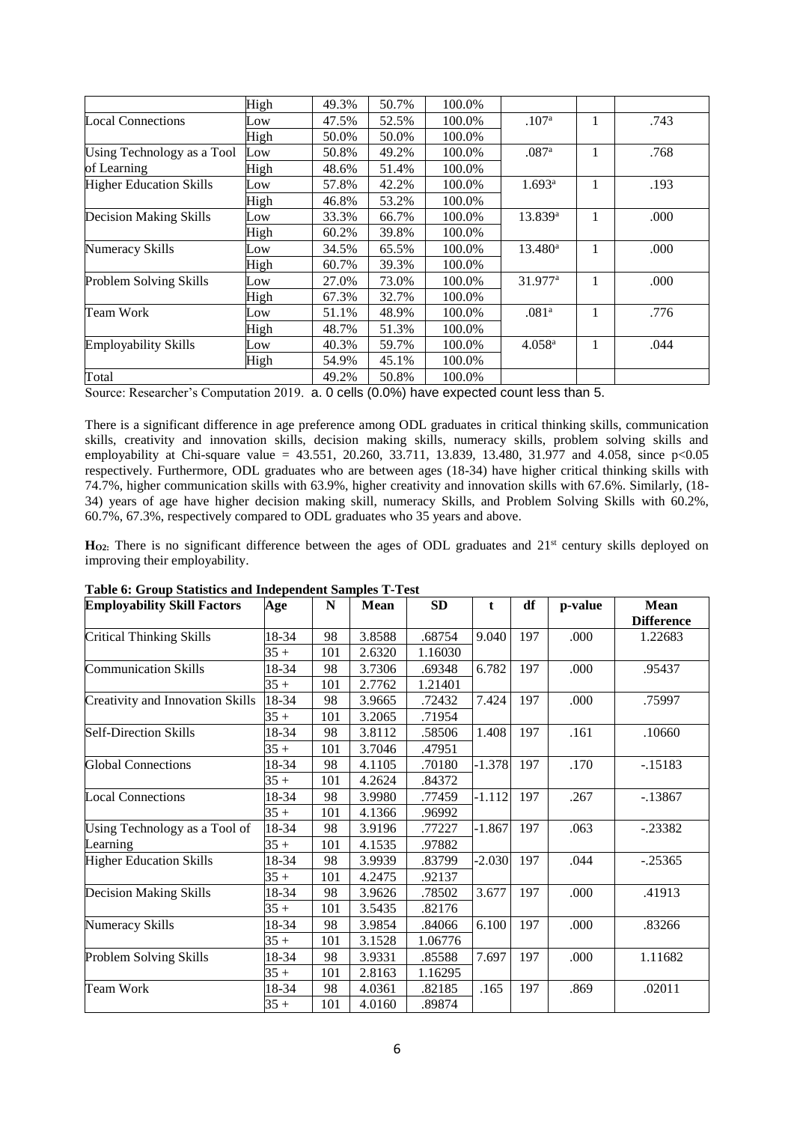|                                | High | 49.3% | 50.7% | 100.0% |                      |   |      |
|--------------------------------|------|-------|-------|--------|----------------------|---|------|
| <b>Local Connections</b>       | Low  | 47.5% | 52.5% | 100.0% | .107 <sup>a</sup>    |   | .743 |
|                                | High | 50.0% | 50.0% | 100.0% |                      |   |      |
| Using Technology as a Tool     | Low  | 50.8% | 49.2% | 100.0% | .087a                |   | .768 |
| of Learning                    | High | 48.6% | 51.4% | 100.0% |                      |   |      |
| <b>Higher Education Skills</b> | Low  | 57.8% | 42.2% | 100.0% | $1.693^a$            | 1 | .193 |
|                                | High | 46.8% | 53.2% | 100.0% |                      |   |      |
| Decision Making Skills         | Low  | 33.3% | 66.7% | 100.0% | 13.839 <sup>a</sup>  |   | .000 |
|                                | High | 60.2% | 39.8% | 100.0% |                      |   |      |
| <b>Numeracy Skills</b>         | Low  | 34.5% | 65.5% | 100.0% | 13.480 <sup>a</sup>  |   | .000 |
|                                | High | 60.7% | 39.3% | 100.0% |                      |   |      |
| Problem Solving Skills         | Low  | 27.0% | 73.0% | 100.0% | 31.977 <sup>a</sup>  |   | .000 |
|                                | High | 67.3% | 32.7% | 100.0% |                      |   |      |
| Team Work                      | Low  | 51.1% | 48.9% | 100.0% | .081 <sup>a</sup>    |   | .776 |
|                                | High | 48.7% | 51.3% | 100.0% |                      |   |      |
| <b>Employability Skills</b>    | Low  | 40.3% | 59.7% | 100.0% | $4.058$ <sup>a</sup> |   | .044 |
|                                | High | 54.9% | 45.1% | 100.0% |                      |   |      |
| Total                          |      | 49.2% | 50.8% | 100.0% |                      |   |      |

Source: Researcher's Computation 2019. a. 0 cells (0.0%) have expected count less than 5.

There is a significant difference in age preference among ODL graduates in critical thinking skills, communication skills, creativity and innovation skills, decision making skills, numeracy skills, problem solving skills and employability at Chi-square value = 43.551, 20.260, 33.711, 13.839, 13.480, 31.977 and 4.058, since  $p<0.05$ respectively. Furthermore, ODL graduates who are between ages (18-34) have higher critical thinking skills with 74.7%, higher communication skills with 63.9%, higher creativity and innovation skills with 67.6%. Similarly, (18- 34) years of age have higher decision making skill, numeracy Skills, and Problem Solving Skills with 60.2%, 60.7%, 67.3%, respectively compared to ODL graduates who 35 years and above.

H<sub>O2</sub>: There is no significant difference between the ages of ODL graduates and 21<sup>st</sup> century skills deployed on improving their employability.

| <b>Employability Skill Factors</b>      | Age    | N   | Mean   | <b>SD</b> | t        | df  | p-value | Mean<br><b>Difference</b> |
|-----------------------------------------|--------|-----|--------|-----------|----------|-----|---------|---------------------------|
| <b>Critical Thinking Skills</b>         | 18-34  | 98  | 3.8588 | .68754    | 9.040    | 197 | .000    | 1.22683                   |
|                                         | $35 +$ | 101 | 2.6320 | 1.16030   |          |     |         |                           |
| <b>Communication Skills</b>             | 18-34  | 98  | 3.7306 | .69348    | 6.782    | 197 | .000    | .95437                    |
|                                         | $35 +$ | 101 | 2.7762 | 1.21401   |          |     |         |                           |
| <b>Creativity and Innovation Skills</b> | 18-34  | 98  | 3.9665 | .72432    | 7.424    | 197 | .000    | .75997                    |
|                                         | $35+$  | 101 | 3.2065 | .71954    |          |     |         |                           |
| <b>Self-Direction Skills</b>            | 18-34  | 98  | 3.8112 | .58506    | 1.408    | 197 | .161    | .10660                    |
|                                         | $35 +$ | 101 | 3.7046 | .47951    |          |     |         |                           |
| <b>Global Connections</b>               | 18-34  | 98  | 4.1105 | .70180    | $-1.378$ | 197 | .170    | $-15183$                  |
|                                         | $35 +$ | 101 | 4.2624 | .84372    |          |     |         |                           |
| <b>Local Connections</b>                | 18-34  | 98  | 3.9980 | .77459    | $-1.112$ | 197 | .267    | $-13867$                  |
|                                         | $35 +$ | 101 | 4.1366 | .96992    |          |     |         |                           |
| Using Technology as a Tool of           | 18-34  | 98  | 3.9196 | .77227    | $-1.867$ | 197 | .063    | $-.23382$                 |
| Learning                                | $35 +$ | 101 | 4.1535 | .97882    |          |     |         |                           |
| <b>Higher Education Skills</b>          | 18-34  | 98  | 3.9939 | .83799    | $-2.030$ | 197 | .044    | $-.25365$                 |
|                                         | $35 +$ | 101 | 4.2475 | .92137    |          |     |         |                           |
| Decision Making Skills                  | 18-34  | 98  | 3.9626 | .78502    | 3.677    | 197 | .000    | .41913                    |
|                                         | $35+$  | 101 | 3.5435 | .82176    |          |     |         |                           |
| Numeracy Skills                         | 18-34  | 98  | 3.9854 | .84066    | 6.100    | 197 | .000    | .83266                    |
|                                         | $35 +$ | 101 | 3.1528 | 1.06776   |          |     |         |                           |
| Problem Solving Skills                  | 18-34  | 98  | 3.9331 | .85588    | 7.697    | 197 | .000    | 1.11682                   |
|                                         | $35+$  | 101 | 2.8163 | 1.16295   |          |     |         |                           |
| <b>Team Work</b>                        | 18-34  | 98  | 4.0361 | .82185    | .165     | 197 | .869    | .02011                    |
|                                         | $35 +$ | 101 | 4.0160 | .89874    |          |     |         |                           |

**Table 6: Group Statistics and Independent Samples T-Test**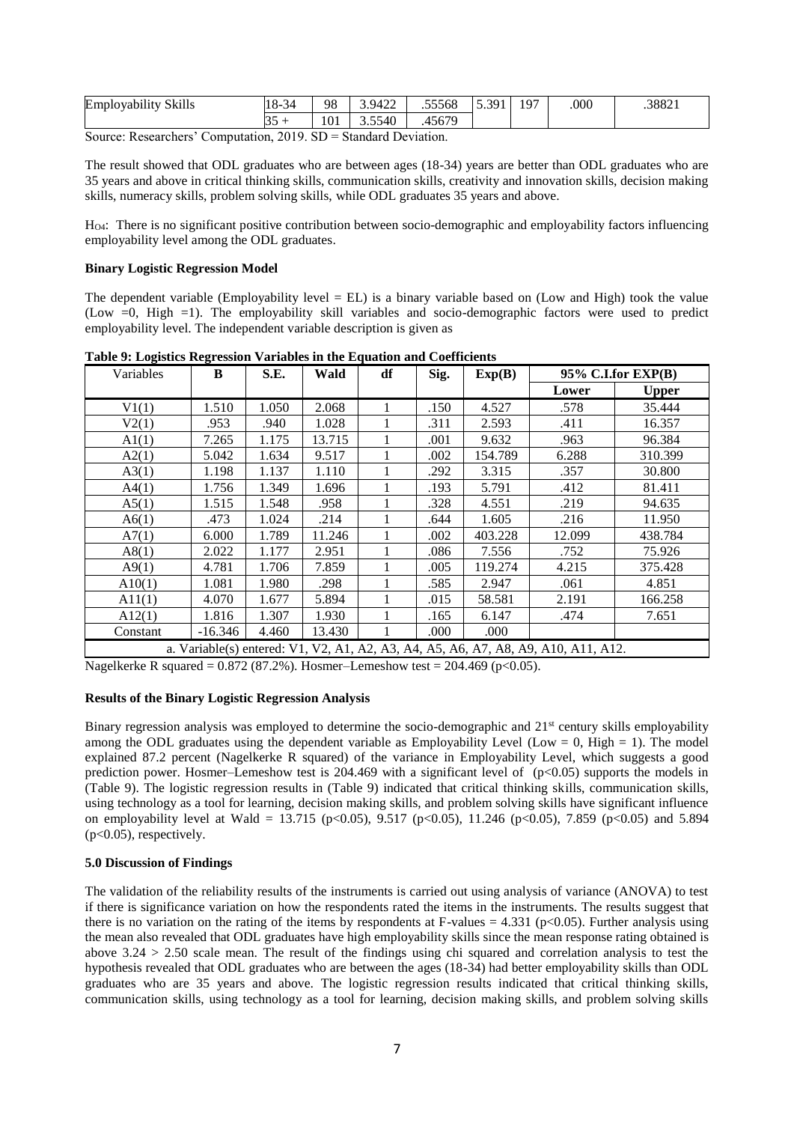| 01.11<br><br>Emr<br>SK111s<br>iovability | $\sim$<br>-01<br>⊶<br>◡ | 98  | 9422<br>т∠∡        | .55568         | 301<br>ن. ب | 197 | .000 | .38821 |
|------------------------------------------|-------------------------|-----|--------------------|----------------|-------------|-----|------|--------|
|                                          | ر ر                     | 101 | $F = 10$<br>3.JJ4U | 5670<br>$+567$ |             |     |      |        |

Source: Researchers' Computation, 2019. SD = Standard Deviation.

The result showed that ODL graduates who are between ages (18-34) years are better than ODL graduates who are 35 years and above in critical thinking skills, communication skills, creativity and innovation skills, decision making skills, numeracy skills, problem solving skills, while ODL graduates 35 years and above.

HO4: There is no significant positive contribution between socio-demographic and employability factors influencing employability level among the ODL graduates.

## **Binary Logistic Regression Model**

The dependent variable (Employability level  $= EL$ ) is a binary variable based on (Low and High) took the value (Low =0, High =1). The employability skill variables and socio-demographic factors were used to predict employability level. The independent variable description is given as

| Variables | B         | S.E.  | Wald   | df | Sig. | Exp(B)  |                                                                                    | 95% C.I.for EXP(B) |
|-----------|-----------|-------|--------|----|------|---------|------------------------------------------------------------------------------------|--------------------|
|           |           |       |        |    |      |         | Lower                                                                              | <b>Upper</b>       |
| V1(1)     | 1.510     | 1.050 | 2.068  | 1  | .150 | 4.527   | .578                                                                               | 35.444             |
| V2(1)     | .953      | .940  | 1.028  |    | .311 | 2.593   | .411                                                                               | 16.357             |
| A1(1)     | 7.265     | 1.175 | 13.715 | 1  | .001 | 9.632   | .963                                                                               | 96.384             |
| A2(1)     | 5.042     | 1.634 | 9.517  | 1. | .002 | 154.789 | 6.288                                                                              | 310.399            |
| A3(1)     | 1.198     | 1.137 | 1.110  |    | .292 | 3.315   | .357                                                                               | 30.800             |
| A4(1)     | 1.756     | 1.349 | 1.696  |    | .193 | 5.791   | .412                                                                               | 81.411             |
| A5(1)     | 1.515     | 1.548 | .958   |    | .328 | 4.551   | .219                                                                               | 94.635             |
| A6(1)     | .473      | 1.024 | .214   |    | .644 | 1.605   | .216                                                                               | 11.950             |
| A7(1)     | 6.000     | 1.789 | 11.246 |    | .002 | 403.228 | 12.099                                                                             | 438.784            |
| A8(1)     | 2.022     | 1.177 | 2.951  |    | .086 | 7.556   | .752                                                                               | 75.926             |
| A9(1)     | 4.781     | 1.706 | 7.859  | 1  | .005 | 119.274 | 4.215                                                                              | 375.428            |
| A10(1)    | 1.081     | 1.980 | .298   | 1  | .585 | 2.947   | .061                                                                               | 4.851              |
| A11(1)    | 4.070     | 1.677 | 5.894  |    | .015 | 58.581  | 2.191                                                                              | 166.258            |
| A12(1)    | 1.816     | 1.307 | 1.930  | 1  | .165 | 6.147   | .474                                                                               | 7.651              |
| Constant  | $-16.346$ | 4.460 | 13.430 |    | .000 | .000    |                                                                                    |                    |
|           |           |       |        |    |      |         | a. Variable(s) entered: V1, V2, A1, A2, A3, A4, A5, A6, A7, A8, A9, A10, A11, A12. |                    |

**Table 9: Logistics Regression Variables in the Equation and Coefficients** 

Nagelkerke R squared =  $0.872$  (87.2%). Hosmer–Lemeshow test =  $204.469$  (p<0.05).

## **Results of the Binary Logistic Regression Analysis**

Binary regression analysis was employed to determine the socio-demographic and 21<sup>st</sup> century skills employability among the ODL graduates using the dependent variable as Employability Level (Low = 0, High = 1). The model explained 87.2 percent (Nagelkerke R squared) of the variance in Employability Level, which suggests a good prediction power. Hosmer–Lemeshow test is 204.469 with a significant level of (p<0.05) supports the models in (Table 9). The logistic regression results in (Table 9) indicated that critical thinking skills, communication skills, using technology as a tool for learning, decision making skills, and problem solving skills have significant influence on employability level at Wald = 13.715 (p<0.05), 9.517 (p<0.05), 11.246 (p<0.05), 7.859 (p<0.05) and 5.894  $(p<0.05)$ , respectively.

## **5.0 Discussion of Findings**

The validation of the reliability results of the instruments is carried out using analysis of variance (ANOVA) to test if there is significance variation on how the respondents rated the items in the instruments. The results suggest that there is no variation on the rating of the items by respondents at F-values  $= 4.331$  (p $< 0.05$ ). Further analysis using the mean also revealed that ODL graduates have high employability skills since the mean response rating obtained is above 3.24 > 2.50 scale mean. The result of the findings using chi squared and correlation analysis to test the hypothesis revealed that ODL graduates who are between the ages (18-34) had better employability skills than ODL graduates who are 35 years and above. The logistic regression results indicated that critical thinking skills, communication skills, using technology as a tool for learning, decision making skills, and problem solving skills